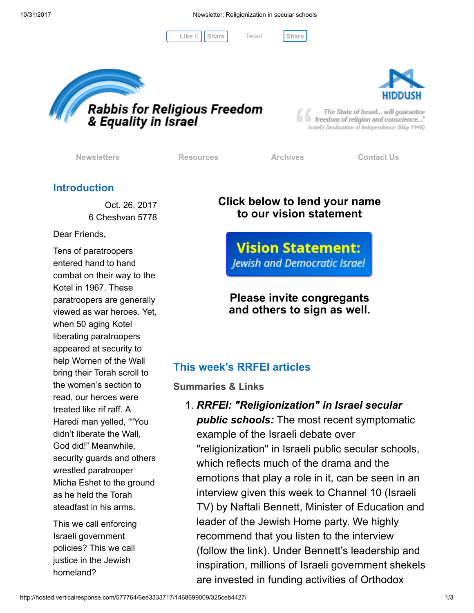[Tweet](https://twitter.com/intent/tweet?original_referer=http%3A%2F%2Fhosted.verticalresponse.com%2F577764%2F6ee3333717%2F1468699009%2F325ceb4427%2F&ref_src=twsrc%5Etfw&text=Newsletter%3A%20Religionization%20in%20secular%20schools&tw_p=tweetbutton&url=http%3A%2F%2Fhosted-p0.vresp.com%2F577764%2F6ee3333717%2FARCHIVE%23.WfjarsdrpS4.twitter)

 $Like 0$   $|$  [Share](javascript:void(0);)  $|$  Tweet Share





The State of Israel... will guarantee freedom of religion and conscience..." Israel's Declaration of Independence (May 1948)

[Newsletters](http://cts.vresp.com/c/?FreedomofReligionfor/6ee3333717/325ceb4427/45e2a383f4) **[Resources](http://cts.vresp.com/c/?FreedomofReligionfor/6ee3333717/325ceb4427/7f5f661417)** [Archives](http://cts.vresp.com/c/?FreedomofReligionfor/6ee3333717/325ceb4427/63d4436170) [Contact Us](http://cts.vresp.com/c/?FreedomofReligionfor/6ee3333717/325ceb4427/c949d361ae)

## Introduction

Oct. 26, 2017 6 Cheshvan 5778

Dear Friends,

Tens of paratroopers entered hand to hand combat on their way to the Kotel in 1967. These paratroopers are generally viewed as war heroes. Yet, when 50 aging Kotel liberating paratroopers appeared at security to help Women of the Wall bring their Torah scroll to the women's section to read, our heroes were treated like rif raff. A Haredi man yelled, ""You didn't liberate the Wall, God did!" Meanwhile, security guards and others wrestled paratrooper Micha Eshet to the ground as he held the Torah steadfast in his arms.

This we call enforcing Israeli government policies? This we call justice in the Jewish homeland?

# Click below to lend your name to our vision statement

**Vision Statement: Jewish and Democratic Israel** 

# Please invite congregants and others to sign as well.

# This week's RRFEI articles

Summaries & Links

# 1. RRFEI: "Religionization" in Israel secular **public schools:** The most recent symptomatic example of the Israeli debate over "religionization" in Israeli public secular schools, which reflects much of the drama and the emotions that play a role in it, can be seen in an interview given this week to Channel 10 (Israeli TV) by Naftali Bennett, Minister of Education and leader of the Jewish Home party. We highly recommend that you listen to the interview (follow the link). Under Bennett's leadership and inspiration, millions of Israeli government shekels are invested in funding activities of Orthodox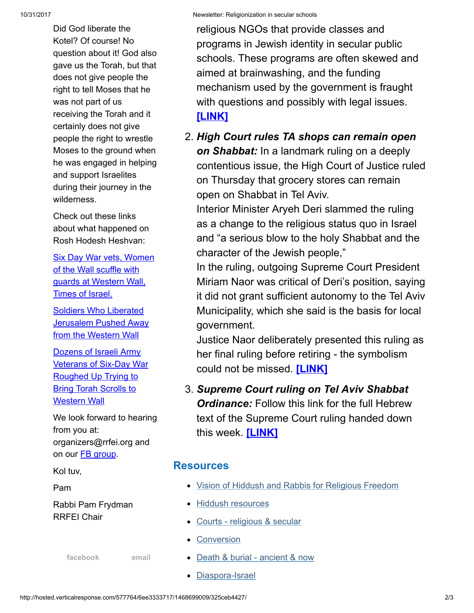Did God liberate the Kotel? Of course! No question about it! God also gave us the Torah, but that does not give people the right to tell Moses that he was not part of us receiving the Torah and it certainly does not give people the right to wrestle Moses to the ground when he was engaged in helping and support Israelites during their journey in the wilderness.

Check out these links about what happened on Rosh Hodesh Heshvan:

[Six Day War vets, Women](http://cts.vresp.com/c/?FreedomofReligionfor/6ee3333717/325ceb4427/a3498fca84) of the Wall scuffle with guards at Western Wall, Times of Israel.

Soldiers Who Liberated **[Jerusalem Pushed Away](http://cts.vresp.com/c/?FreedomofReligionfor/6ee3333717/325ceb4427/0ac4b6327f)** from the Western Wall

Dozens of Israeli Army [Veterans of Six-Day War](http://cts.vresp.com/c/?FreedomofReligionfor/6ee3333717/325ceb4427/2c361a9493) Roughed Up Trying to **Bring Torah Scrolls to** Western Wall

We look forward to hearing from you at: organizers@rrfei.org and on our **FB** group.

Kol tuv,

Pam

Rabbi Pam Frydman RRFEI Chair

[facebook](http://cts.vresp.com/c/?FreedomofReligionfor/6ee3333717/325ceb4427/aba09420b4) [email](mailto:organizers@rrfei.org)

religious NGOs that provide classes and programs in Jewish identity in secular public schools. These programs are often skewed and aimed at brainwashing, and the funding mechanism used by the government is fraught with questions and possibly with legal issues. [\[LINK\]](http://cts.vresp.com/c/?FreedomofReligionfor/6ee3333717/325ceb4427/ff9bbb46ff)

2. High Court rules TA shops can remain open on Shabbat: In a landmark ruling on a deeply contentious issue, the High Court of Justice ruled on Thursday that grocery stores can remain open on Shabbat in Tel Aviv.

Interior Minister Aryeh Deri slammed the ruling as a change to the religious status quo in Israel and "a serious blow to the holy Shabbat and the character of the Jewish people,"

In the ruling, outgoing Supreme Court President Miriam Naor was critical of Deri's position, saying it did not grant sufficient autonomy to the Tel Aviv Municipality, which she said is the basis for local government.

Justice Naor deliberately presented this ruling as her final ruling before retiring - the symbolism could not be missed. [\[LINK\]](http://cts.vresp.com/c/?FreedomofReligionfor/6ee3333717/325ceb4427/ea5c0084bc/id=508479)

3. Supreme Court ruling on Tel Aviv Shabbat **Ordinance:** Follow this link for the full Hebrew text of the Supreme Court ruling handed down this week. [\[LINK\]](http://cts.vresp.com/c/?FreedomofReligionfor/6ee3333717/325ceb4427/ad2ed4e3d9)

### **Resources**

- [Vision of Hiddush and Rabbis for Religious Freedom](http://cts.vresp.com/c/?FreedomofReligionfor/6ee3333717/325ceb4427/38c9d39250)
- [Hiddush resources](http://cts.vresp.com/c/?FreedomofReligionfor/6ee3333717/325ceb4427/febf37cfe4)
- [Courts religious & secular](http://cts.vresp.com/c/?FreedomofReligionfor/6ee3333717/325ceb4427/5edfa3ff58)
- **[Conversion](http://cts.vresp.com/c/?FreedomofReligionfor/6ee3333717/325ceb4427/b81b4e493a)**
- [Death & burial ancient & now](http://cts.vresp.com/c/?FreedomofReligionfor/6ee3333717/325ceb4427/6d54378a78)
- [Diaspora-Israel](http://cts.vresp.com/c/?FreedomofReligionfor/6ee3333717/325ceb4427/a6cb91fe17)